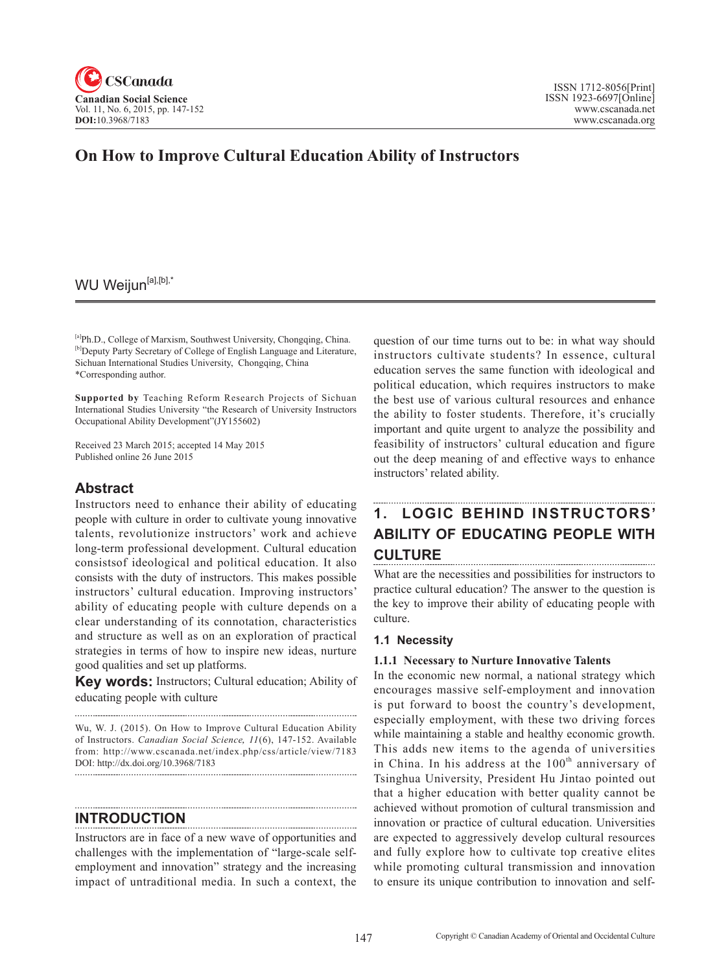

# **On How to Improve Cultural Education Ability of Instructors**

# WU Weijun<sup>[a],[b],\*</sup>

[a]Ph.D., College of Marxism, Southwest University, Chongqing, China. [b]Deputy Party Secretary of College of English Language and Literature, Sichuan International Studies University, Chongqing, China \*Corresponding author.

**Supported by** Teaching Reform Research Projects of Sichuan International Studies University "the Research of University Instructors Occupational Ability Development"(JY155602)

Received 23 March 2015; accepted 14 May 2015 Published online 26 June 2015

## **Abstract**

Instructors need to enhance their ability of educating people with culture in order to cultivate young innovative talents, revolutionize instructors' work and achieve long-term professional development. Cultural education consistsof ideological and political education. It also consists with the duty of instructors. This makes possible instructors' cultural education. Improving instructors' ability of educating people with culture depends on a clear understanding of its connotation, characteristics and structure as well as on an exploration of practical strategies in terms of how to inspire new ideas, nurture good qualities and set up platforms.

**Key words:** Instructors; Cultural education; Ability of educating people with culture

Wu, W. J. (2015). On How to Improve Cultural Education Ability of Instructors. *Canadian Social Science*, <sup>11</sup>(6), 147-152. Available from: http://www.cscanada.net/index.php/css/article/view/7183 DOI: http://dx.doi.org/10.3968/7183

**INTRODUCTION**

Instructors are in face of a new wave of opportunities and challenges with the implementation of "large-scale selfemployment and innovation" strategy and the increasing impact of untraditional media. In such a context, the question of our time turns out to be: in what way should instructors cultivate students? In essence, cultural education serves the same function with ideological and political education, which requires instructors to make the best use of various cultural resources and enhance the ability to foster students. Therefore, it's crucially important and quite urgent to analyze the possibility and feasibility of instructors' cultural education and figure out the deep meaning of and effective ways to enhance instructors' related ability.

# **1. LOGIC BEHIND INSTRUCTORS' ABILITY OF EDUCATING PEOPLE WITH CULTURE**

What are the necessities and possibilities for instructors to practice cultural education? The answer to the question is the key to improve their ability of educating people with culture.

#### **1.1 Necessity**

#### **1.1.1 Necessary to Nurture Innovative Talents**

In the economic new normal, a national strategy which encourages massive self-employment and innovation is put forward to boost the country's development, especially employment, with these two driving forces while maintaining a stable and healthy economic growth. This adds new items to the agenda of universities in China. In his address at the  $100<sup>th</sup>$  anniversary of Tsinghua University, President Hu Jintao pointed out that a higher education with better quality cannot be achieved without promotion of cultural transmission and innovation or practice of cultural education. Universities are expected to aggressively develop cultural resources and fully explore how to cultivate top creative elites while promoting cultural transmission and innovation to ensure its unique contribution to innovation and self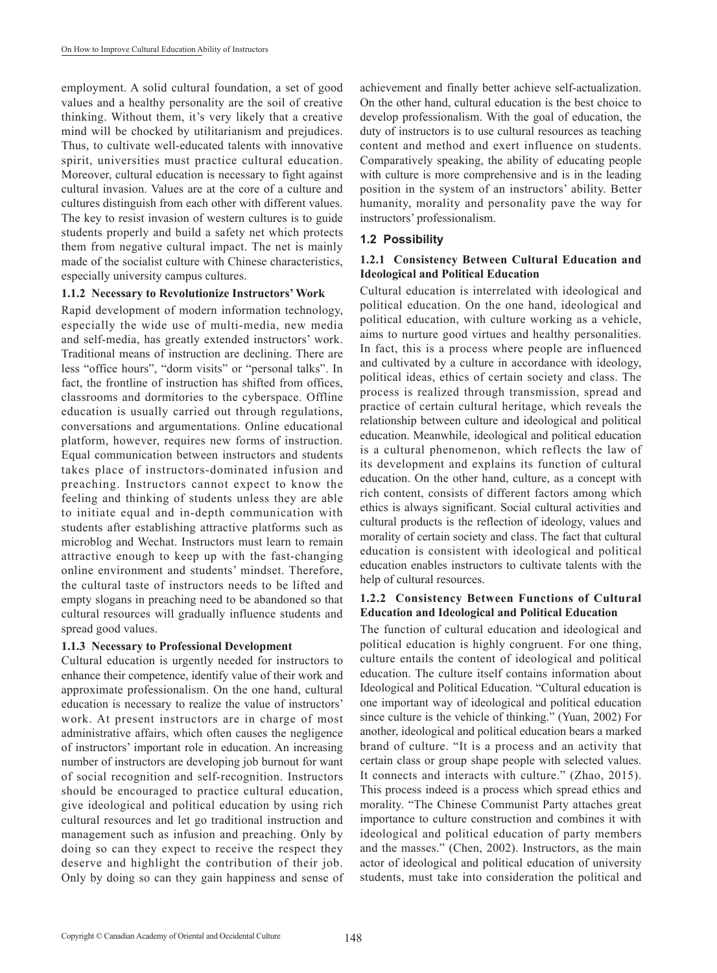employment. A solid cultural foundation, a set of good values and a healthy personality are the soil of creative thinking. Without them, it's very likely that a creative mind will be chocked by utilitarianism and prejudices. Thus, to cultivate well-educated talents with innovative spirit, universities must practice cultural education. Moreover, cultural education is necessary to fight against cultural invasion. Values are at the core of a culture and cultures distinguish from each other with different values. The key to resist invasion of western cultures is to guide students properly and build a safety net which protects them from negative cultural impact. The net is mainly made of the socialist culture with Chinese characteristics, especially university campus cultures.

#### **1.1.2 Necessary to Revolutionize Instructors' Work**

Rapid development of modern information technology, especially the wide use of multi-media, new media and self-media, has greatly extended instructors' work. Traditional means of instruction are declining. There are less "office hours", "dorm visits" or "personal talks". In fact, the frontline of instruction has shifted from offices, classrooms and dormitories to the cyberspace. Offline education is usually carried out through regulations, conversations and argumentations. Online educational platform, however, requires new forms of instruction. Equal communication between instructors and students takes place of instructors-dominated infusion and preaching. Instructors cannot expect to know the feeling and thinking of students unless they are able to initiate equal and in-depth communication with students after establishing attractive platforms such as microblog and Wechat. Instructors must learn to remain attractive enough to keep up with the fast-changing online environment and students' mindset. Therefore, the cultural taste of instructors needs to be lifted and empty slogans in preaching need to be abandoned so that cultural resources will gradually influence students and spread good values.

#### **1.1.3 Necessary to Professional Development**

Cultural education is urgently needed for instructors to enhance their competence, identify value of their work and approximate professionalism. On the one hand, cultural education is necessary to realize the value of instructors' work. At present instructors are in charge of most administrative affairs, which often causes the negligence of instructors' important role in education. An increasing number of instructors are developing job burnout for want of social recognition and self-recognition. Instructors should be encouraged to practice cultural education, give ideological and political education by using rich cultural resources and let go traditional instruction and management such as infusion and preaching. Only by doing so can they expect to receive the respect they deserve and highlight the contribution of their job. Only by doing so can they gain happiness and sense of achievement and finally better achieve self-actualization. On the other hand, cultural education is the best choice to develop professionalism. With the goal of education, the duty of instructors is to use cultural resources as teaching content and method and exert influence on students. Comparatively speaking, the ability of educating people with culture is more comprehensive and is in the leading position in the system of an instructors' ability. Better humanity, morality and personality pave the way for instructors' professionalism.

#### **1.2 Possibility**

#### **1.2.1 Consistency Between Cultural Education and Ideological and Political Education**

Cultural education is interrelated with ideological and political education. On the one hand, ideological and political education, with culture working as a vehicle, aims to nurture good virtues and healthy personalities. In fact, this is a process where people are influenced and cultivated by a culture in accordance with ideology, political ideas, ethics of certain society and class. The process is realized through transmission, spread and practice of certain cultural heritage, which reveals the relationship between culture and ideological and political education. Meanwhile, ideological and political education is a cultural phenomenon, which reflects the law of its development and explains its function of cultural education. On the other hand, culture, as a concept with rich content, consists of different factors among which ethics is always significant. Social cultural activities and cultural products is the reflection of ideology, values and morality of certain society and class. The fact that cultural education is consistent with ideological and political education enables instructors to cultivate talents with the help of cultural resources.

#### **1.2.2 Consistency Between Functions of Cultural Education and Ideological and Political Education**

The function of cultural education and ideological and political education is highly congruent. For one thing, culture entails the content of ideological and political education. The culture itself contains information about Ideological and Political Education. "Cultural education is one important way of ideological and political education since culture is the vehicle of thinking." (Yuan, 2002) For another, ideological and political education bears a marked brand of culture. "It is a process and an activity that certain class or group shape people with selected values. It connects and interacts with culture." (Zhao, 2015). This process indeed is a process which spread ethics and morality. "The Chinese Communist Party attaches great importance to culture construction and combines it with ideological and political education of party members and the masses." (Chen, 2002). Instructors, as the main actor of ideological and political education of university students, must take into consideration the political and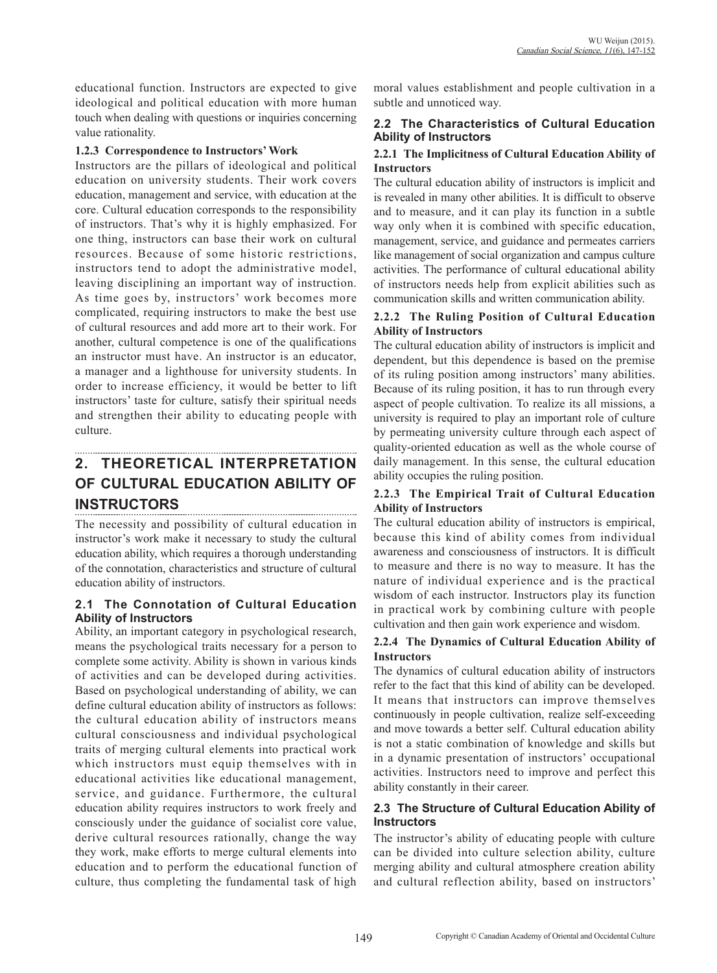educational function. Instructors are expected to give ideological and political education with more human touch when dealing with questions or inquiries concerning value rationality.

#### **1.2.3 Correspondence to Instructors' Work**

Instructors are the pillars of ideological and political education on university students. Their work covers education, management and service, with education at the core. Cultural education corresponds to the responsibility of instructors. That's why it is highly emphasized. For one thing, instructors can base their work on cultural resources. Because of some historic restrictions, instructors tend to adopt the administrative model, leaving disciplining an important way of instruction. As time goes by, instructors' work becomes more complicated, requiring instructors to make the best use of cultural resources and add more art to their work. For another, cultural competence is one of the qualifications an instructor must have. An instructor is an educator, a manager and a lighthouse for university students. In order to increase efficiency, it would be better to lift instructors' taste for culture, satisfy their spiritual needs and strengthen their ability to educating people with culture.

## **2. THEORETICAL INTERPRETATION OF CULTURAL EDUCATION ABILITY OF INSTRUCTORS**

The necessity and possibility of cultural education in instructor's work make it necessary to study the cultural education ability, which requires a thorough understanding of the connotation, characteristics and structure of cultural education ability of instructors.

### **2.1 The Connotation of Cultural Education Ability of Instructors**

Ability, an important category in psychological research, means the psychological traits necessary for a person to complete some activity. Ability is shown in various kinds of activities and can be developed during activities. Based on psychological understanding of ability, we can define cultural education ability of instructors as follows: the cultural education ability of instructors means cultural consciousness and individual psychological traits of merging cultural elements into practical work which instructors must equip themselves with in educational activities like educational management, service, and guidance. Furthermore, the cultural education ability requires instructors to work freely and consciously under the guidance of socialist core value, derive cultural resources rationally, change the way they work, make efforts to merge cultural elements into education and to perform the educational function of culture, thus completing the fundamental task of high

moral values establishment and people cultivation in a subtle and unnoticed way.

#### **2.2 The Characteristics of Cultural Education Ability of Instructors**

#### **2.2.1 The Implicitness of Cultural Education Ability of Instructors**

The cultural education ability of instructors is implicit and is revealed in many other abilities. It is difficult to observe and to measure, and it can play its function in a subtle way only when it is combined with specific education, management, service, and guidance and permeates carriers like management of social organization and campus culture activities. The performance of cultural educational ability of instructors needs help from explicit abilities such as communication skills and written communication ability.

#### **2.2.2 The Ruling Position of Cultural Education Ability of Instructors**

The cultural education ability of instructors is implicit and dependent, but this dependence is based on the premise of its ruling position among instructors' many abilities. Because of its ruling position, it has to run through every aspect of people cultivation. To realize its all missions, a university is required to play an important role of culture by permeating university culture through each aspect of quality-oriented education as well as the whole course of daily management. In this sense, the cultural education ability occupies the ruling position.

### **2.2.3 The Empirical Trait of Cultural Education Ability of Instructors**

The cultural education ability of instructors is empirical, because this kind of ability comes from individual awareness and consciousness of instructors. It is difficult to measure and there is no way to measure. It has the nature of individual experience and is the practical wisdom of each instructor. Instructors play its function in practical work by combining culture with people cultivation and then gain work experience and wisdom.

#### **2.2.4 The Dynamics of Cultural Education Ability of Instructors**

The dynamics of cultural education ability of instructors refer to the fact that this kind of ability can be developed. It means that instructors can improve themselves continuously in people cultivation, realize self-exceeding and move towards a better self. Cultural education ability is not a static combination of knowledge and skills but in a dynamic presentation of instructors' occupational activities. Instructors need to improve and perfect this ability constantly in their career.

### **2.3 The Structure of Cultural Education Ability of Instructors**

The instructor's ability of educating people with culture can be divided into culture selection ability, culture merging ability and cultural atmosphere creation ability and cultural reflection ability, based on instructors'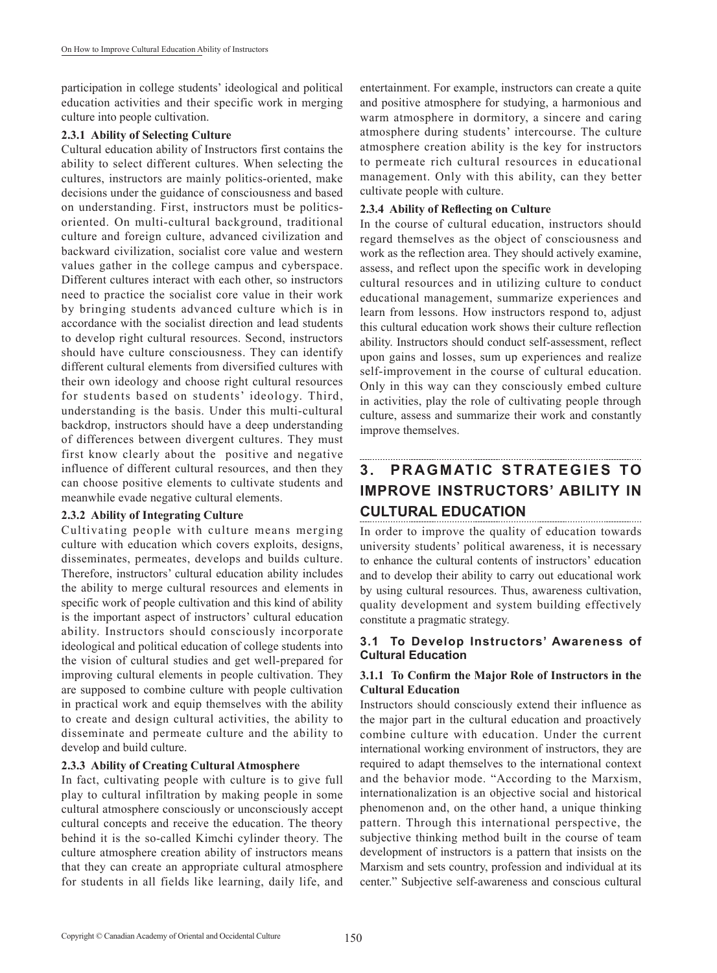participation in college students' ideological and political education activities and their specific work in merging culture into people cultivation.

#### **2.3.1 Ability of Selecting Culture**

Cultural education ability of Instructors first contains the ability to select different cultures. When selecting the cultures, instructors are mainly politics-oriented, make decisions under the guidance of consciousness and based on understanding. First, instructors must be politicsoriented. On multi-cultural background, traditional culture and foreign culture, advanced civilization and backward civilization, socialist core value and western values gather in the college campus and cyberspace. Different cultures interact with each other, so instructors need to practice the socialist core value in their work by bringing students advanced culture which is in accordance with the socialist direction and lead students to develop right cultural resources. Second, instructors should have culture consciousness. They can identify different cultural elements from diversified cultures with their own ideology and choose right cultural resources for students based on students' ideology. Third, understanding is the basis. Under this multi-cultural backdrop, instructors should have a deep understanding of differences between divergent cultures. They must first know clearly about the positive and negative influence of different cultural resources, and then they can choose positive elements to cultivate students and meanwhile evade negative cultural elements.

#### **2.3.2 Ability of Integrating Culture**

Cultivating people with culture means merging culture with education which covers exploits, designs, disseminates, permeates, develops and builds culture. Therefore, instructors' cultural education ability includes the ability to merge cultural resources and elements in specific work of people cultivation and this kind of ability is the important aspect of instructors' cultural education ability. Instructors should consciously incorporate ideological and political education of college students into the vision of cultural studies and get well-prepared for improving cultural elements in people cultivation. They are supposed to combine culture with people cultivation in practical work and equip themselves with the ability to create and design cultural activities, the ability to disseminate and permeate culture and the ability to develop and build culture.

#### **2.3.3 Ability of Creating Cultural Atmosphere**

In fact, cultivating people with culture is to give full play to cultural infiltration by making people in some cultural atmosphere consciously or unconsciously accept cultural concepts and receive the education. The theory behind it is the so-called Kimchi cylinder theory. The culture atmosphere creation ability of instructors means that they can create an appropriate cultural atmosphere for students in all fields like learning, daily life, and

entertainment. For example, instructors can create a quite and positive atmosphere for studying, a harmonious and warm atmosphere in dormitory, a sincere and caring atmosphere during students' intercourse. The culture atmosphere creation ability is the key for instructors to permeate rich cultural resources in educational management. Only with this ability, can they better cultivate people with culture.

#### **2.3.4 Ability of Reflecting on Culture**

In the course of cultural education, instructors should regard themselves as the object of consciousness and work as the reflection area. They should actively examine, assess, and reflect upon the specific work in developing cultural resources and in utilizing culture to conduct educational management, summarize experiences and learn from lessons. How instructors respond to, adjust this cultural education work shows their culture reflection ability. Instructors should conduct self-assessment, reflect upon gains and losses, sum up experiences and realize self-improvement in the course of cultural education. Only in this way can they consciously embed culture in activities, play the role of cultivating people through culture, assess and summarize their work and constantly improve themselves.

## **3. PRAGMATIC STRATEGIES TO IMPROVE INSTRUCTORS' ABILITY IN CULTURAL EDUCATION**

In order to improve the quality of education towards university students' political awareness, it is necessary to enhance the cultural contents of instructors' education and to develop their ability to carry out educational work by using cultural resources. Thus, awareness cultivation, quality development and system building effectively constitute a pragmatic strategy.

#### **3.1 To Develop Instructors' Awareness of Cultural Education**

### **3.1.1 To Confirm the Major Role of Instructors in the Cultural Education**

Instructors should consciously extend their influence as the major part in the cultural education and proactively combine culture with education. Under the current international working environment of instructors, they are required to adapt themselves to the international context and the behavior mode. "According to the Marxism, internationalization is an objective social and historical phenomenon and, on the other hand, a unique thinking pattern. Through this international perspective, the subjective thinking method built in the course of team development of instructors is a pattern that insists on the Marxism and sets country, profession and individual at its center." Subjective self-awareness and conscious cultural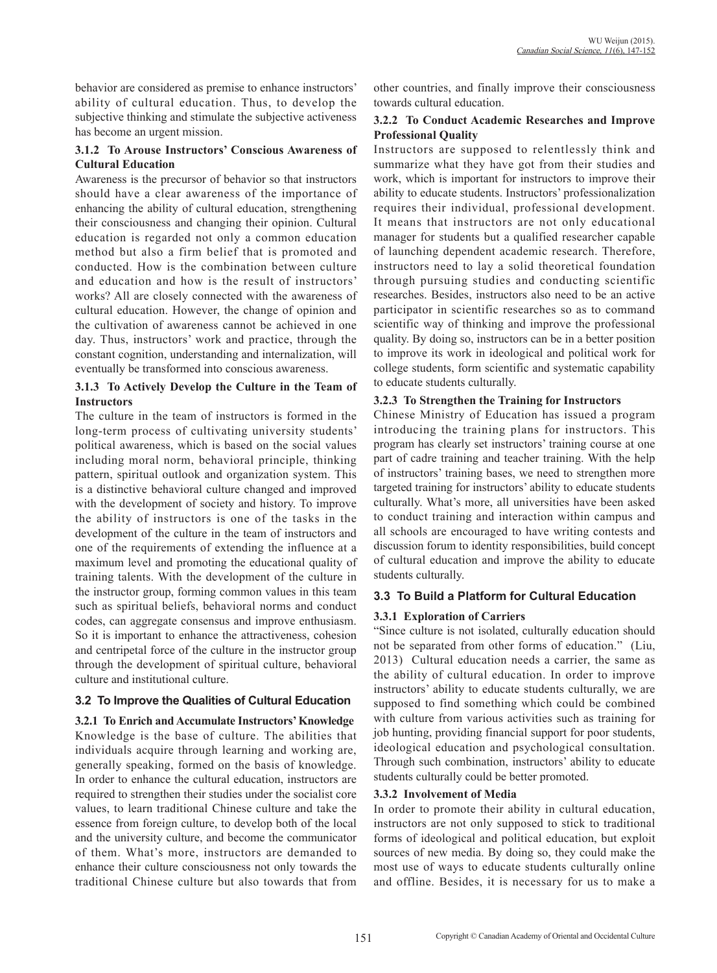behavior are considered as premise to enhance instructors' ability of cultural education. Thus, to develop the subjective thinking and stimulate the subjective activeness has become an urgent mission.

#### **3.1.2 To Arouse Instructors' Conscious Awareness of Cultural Education**

Awareness is the precursor of behavior so that instructors should have a clear awareness of the importance of enhancing the ability of cultural education, strengthening their consciousness and changing their opinion. Cultural education is regarded not only a common education method but also a firm belief that is promoted and conducted. How is the combination between culture and education and how is the result of instructors' works? All are closely connected with the awareness of cultural education. However, the change of opinion and the cultivation of awareness cannot be achieved in one day. Thus, instructors' work and practice, through the constant cognition, understanding and internalization, will eventually be transformed into conscious awareness.

#### **3.1.3 To Actively Develop the Culture in the Team of Instructors**

The culture in the team of instructors is formed in the long-term process of cultivating university students' political awareness, which is based on the social values including moral norm, behavioral principle, thinking pattern, spiritual outlook and organization system. This is a distinctive behavioral culture changed and improved with the development of society and history. To improve the ability of instructors is one of the tasks in the development of the culture in the team of instructors and one of the requirements of extending the influence at a maximum level and promoting the educational quality of training talents. With the development of the culture in the instructor group, forming common values in this team such as spiritual beliefs, behavioral norms and conduct codes, can aggregate consensus and improve enthusiasm. So it is important to enhance the attractiveness, cohesion and centripetal force of the culture in the instructor group through the development of spiritual culture, behavioral culture and institutional culture.

## **3.2 To Improve the Qualities of Cultural Education**

**3.2.1 To Enrich and Accumulate Instructors' Knowledge** Knowledge is the base of culture. The abilities that individuals acquire through learning and working are, generally speaking, formed on the basis of knowledge. In order to enhance the cultural education, instructors are required to strengthen their studies under the socialist core values, to learn traditional Chinese culture and take the essence from foreign culture, to develop both of the local and the university culture, and become the communicator of them. What's more, instructors are demanded to enhance their culture consciousness not only towards the traditional Chinese culture but also towards that from

other countries, and finally improve their consciousness towards cultural education.

#### **3.2.2 To Conduct Academic Researches and Improve Professional Quality**

Instructors are supposed to relentlessly think and summarize what they have got from their studies and work, which is important for instructors to improve their ability to educate students. Instructors' professionalization requires their individual, professional development. It means that instructors are not only educational manager for students but a qualified researcher capable of launching dependent academic research. Therefore, instructors need to lay a solid theoretical foundation through pursuing studies and conducting scientific researches. Besides, instructors also need to be an active participator in scientific researches so as to command scientific way of thinking and improve the professional quality. By doing so, instructors can be in a better position to improve its work in ideological and political work for college students, form scientific and systematic capability to educate students culturally.

#### **3.2.3 To Strengthen the Training for Instructors**

Chinese Ministry of Education has issued a program introducing the training plans for instructors. This program has clearly set instructors' training course at one part of cadre training and teacher training. With the help of instructors' training bases, we need to strengthen more targeted training for instructors' ability to educate students culturally. What's more, all universities have been asked to conduct training and interaction within campus and all schools are encouraged to have writing contests and discussion forum to identity responsibilities, build concept of cultural education and improve the ability to educate students culturally.

## **3.3 To Build a Platform for Cultural Education**

## **3.3.1 Exploration of Carriers**

"Since culture is not isolated, culturally education should not be separated from other forms of education." (Liu, 2013) Cultural education needs a carrier, the same as the ability of cultural education. In order to improve instructors' ability to educate students culturally, we are supposed to find something which could be combined with culture from various activities such as training for job hunting, providing financial support for poor students, ideological education and psychological consultation. Through such combination, instructors' ability to educate students culturally could be better promoted.

#### **3.3.2 Involvement of Media**

In order to promote their ability in cultural education, instructors are not only supposed to stick to traditional forms of ideological and political education, but exploit sources of new media. By doing so, they could make the most use of ways to educate students culturally online and offline. Besides, it is necessary for us to make a